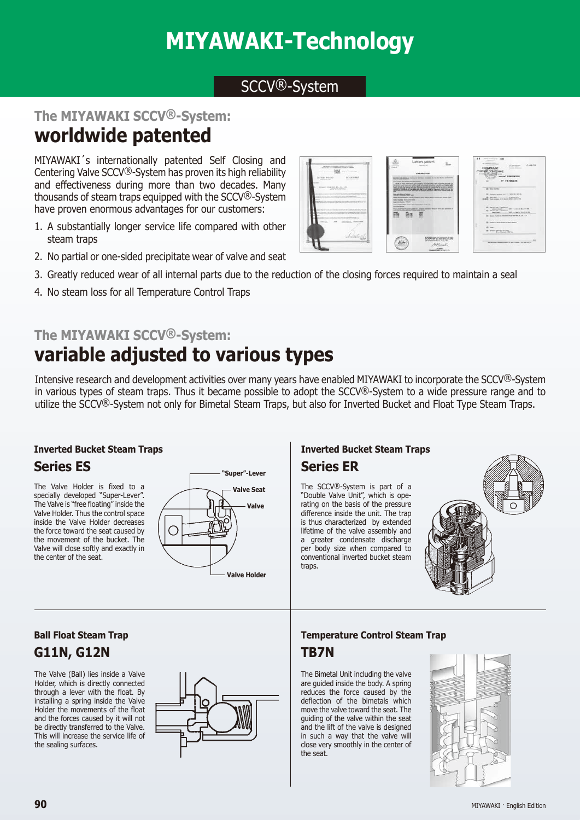# **Temperature Controll Steam Traps**

### SCCV<sup>®</sup>-System

#### **The MIYAWAKI SCCV®-System:**

## **worldwide patented**

MIYAWAKI´s internationally patented Self Closing and Centering Valve SCCV®-System has proven its high reliability and effectiveness during more than two decades. Many thousands of steam traps equipped with the SCCV®-System have proven enormous advantages for our customers:

- 1. A substantially longer service life compared with other steam traps
- 2. No partial or one-sided precipitate wear of valve and seat
- 3. Greatly reduced wear of all internal parts due to the reduction of the closing forces required to maintain a seal
- 4. No steam loss for all Temperature Control Traps

## **The MIYAWAKI SCCV®-System: variable adjusted to various types**

Intensive research and development activities over many years have enabled MIYAWAKI to incorporate the SCCV®-System in various types of steam traps. Thus it became possible to adopt the  $SCCV@-System$  to a wide pressure range and to utilize the SCCV®-System not only for Bimetal Steam Traps, but also for Inverted Bucket and Float Type Steam Traps.

#### **Inverted Bucket Steam Traps**

#### **Series ES**

The Valve Holder is fixed to a specially developed "Super-Lever". The Valve is "free floating" inside the Valve Holder. Thus the control space inside the Valve Holder decreases the force toward the seat caused by the movement of the bucket. The Valve will close softly and exactly in the center of the seat.



#### **Series ER Inverted Bucket Steam Traps**

The SCCV®-System is part of a "Double Valve Unit", which is operating on the basis of the pressure difference inside the unit. The trap is thus characterized by extended lifetime of the valve assembly and a greater condensate discharge per body size when compared to conventional inverted bucket steam traps.



#### **G11N, G12N Ball Float Steam Trap**

The Valve (Ball) lies inside a Valve Holder, which is directly connected through a lever with the float. By installing a spring inside the Valve Holder the movements of the float and the forces caused by it will not be directly transferred to the Valve. This will increase the service life of the sealing surfaces.



#### **TB7N Temperature Control Steam Trap**

The Bimetal Unit including the valve are guided inside the body. A spring reduces the force caused by the deflection of the bimetals which move the valve toward the seat. The guiding of the valve within the seat and the lift of the valve is designed in such a way that the valve will close very smoothly in the center of the seat.